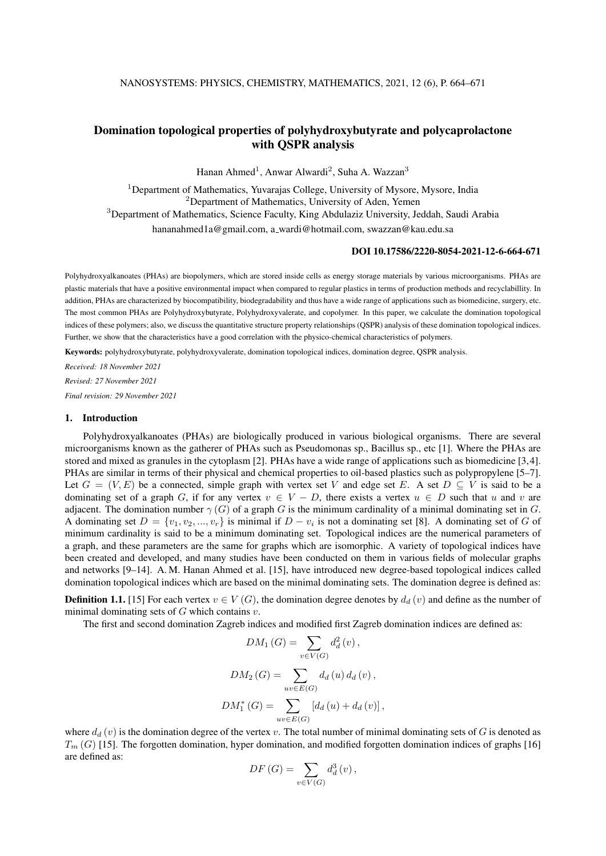# Domination topological properties of polyhydroxybutyrate and polycaprolactone with QSPR analysis

Hanan Ahmed<sup>1</sup>, Anwar Alwardi<sup>2</sup>, Suha A. Wazzan<sup>3</sup>

<sup>1</sup>Department of Mathematics, Yuvarajas College, University of Mysore, Mysore, India <sup>2</sup>Department of Mathematics, University of Aden, Yemen <sup>3</sup>Department of Mathematics, Science Faculty, King Abdulaziz University, Jeddah, Saudi Arabia hananahmed1a@gmail.com, a wardi@hotmail.com, swazzan@kau.edu.sa

# DOI 10.17586/2220-8054-2021-12-6-664-671

Polyhydroxyalkanoates (PHAs) are biopolymers, which are stored inside cells as energy storage materials by various microorganisms. PHAs are plastic materials that have a positive environmental impact when compared to regular plastics in terms of production methods and recyclabillity. In addition, PHAs are characterized by biocompatibility, biodegradability and thus have a wide range of applications such as biomedicine, surgery, etc. The most common PHAs are Polyhydroxybutyrate, Polyhydroxyvalerate, and copolymer. In this paper, we calculate the domination topological indices of these polymers; also, we discuss the quantitative structure property relationships (QSPR) analysis of these domination topological indices. Further, we show that the characteristics have a good correlation with the physico-chemical characteristics of polymers.

Keywords: polyhydroxybutyrate, polyhydroxyvalerate, domination topological indices, domination degree, QSPR analysis.

*Received: 18 November 2021*

*Revised: 27 November 2021*

*Final revision: 29 November 2021*

## 1. Introduction

Polyhydroxyalkanoates (PHAs) are biologically produced in various biological organisms. There are several microorganisms known as the gatherer of PHAs such as Pseudomonas sp., Bacillus sp., etc [1]. Where the PHAs are stored and mixed as granules in the cytoplasm [2]. PHAs have a wide range of applications such as biomedicine [3,4]. PHAs are similar in terms of their physical and chemical properties to oil-based plastics such as polypropylene [5–7]. Let  $G = (V, E)$  be a connected, simple graph with vertex set V and edge set E. A set  $D \subseteq V$  is said to be a dominating set of a graph G, if for any vertex  $v \in V - D$ , there exists a vertex  $u \in D$  such that u and v are adjacent. The domination number  $\gamma(G)$  of a graph G is the minimum cardinality of a minimal dominating set in G. A dominating set  $D = \{v_1, v_2, ..., v_r\}$  is minimal if  $D - v_i$  is not a dominating set [8]. A dominating set of G of minimum cardinality is said to be a minimum dominating set. Topological indices are the numerical parameters of a graph, and these parameters are the same for graphs which are isomorphic. A variety of topological indices have been created and developed, and many studies have been conducted on them in various fields of molecular graphs and networks [9–14]. A. M. Hanan Ahmed et al. [15], have introduced new degree-based topological indices called domination topological indices which are based on the minimal dominating sets. The domination degree is defined as:

**Definition 1.1.** [15] For each vertex  $v \in V(G)$ , the domination degree denotes by  $d_d(v)$  and define as the number of minimal dominating sets of  $G$  which contains  $v$ .

The first and second domination Zagreb indices and modified first Zagreb domination indices are defined as:

$$
DM_1(G) = \sum_{v \in V(G)} d_d^2(v),
$$
  

$$
DM_2(G) = \sum_{uv \in E(G)} d_d(u) d_d(v),
$$
  

$$
DM_1^*(G) = \sum_{uv \in E(G)} [d_d(u) + d_d(v)],
$$

where  $d_d(v)$  is the domination degree of the vertex v. The total number of minimal dominating sets of G is denoted as  $T_m(G)$  [15]. The forgotten domination, hyper domination, and modified forgotten domination indices of graphs [16] are defined as:

$$
DF(G) = \sum_{v \in V(G)} d_d^3(v),
$$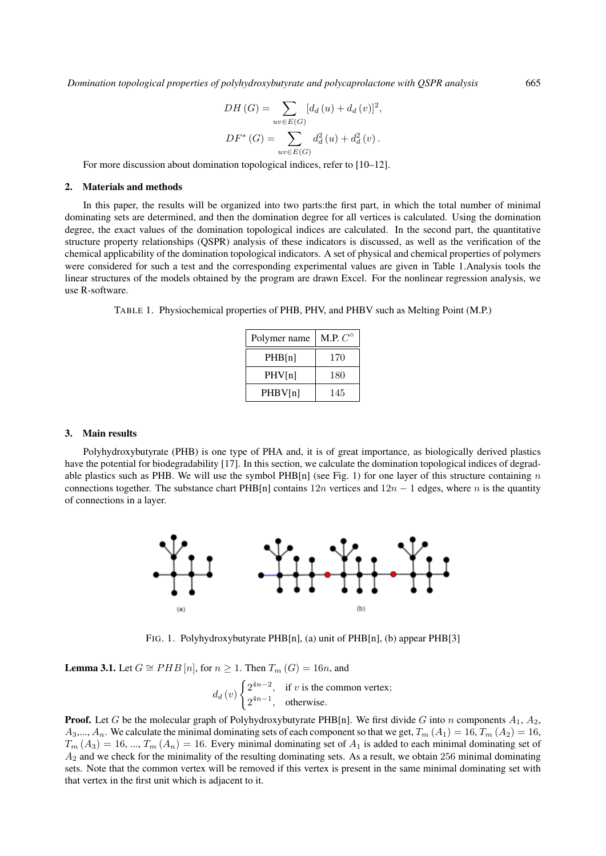$$
DH(G) = \sum_{uv \in E(G)} [d_d(u) + d_d(v)]^2,
$$
  

$$
DF^*(G) = \sum_{uv \in E(G)} d_d^2(u) + d_d^2(v).
$$

For more discussion about domination topological indices, refer to [10–12].

#### 2. Materials and methods

In this paper, the results will be organized into two parts:the first part, in which the total number of minimal dominating sets are determined, and then the domination degree for all vertices is calculated. Using the domination degree, the exact values of the domination topological indices are calculated. In the second part, the quantitative structure property relationships (QSPR) analysis of these indicators is discussed, as well as the verification of the chemical applicability of the domination topological indicators. A set of physical and chemical properties of polymers were considered for such a test and the corresponding experimental values are given in Table 1.Analysis tools the linear structures of the models obtained by the program are drawn Excel. For the nonlinear regression analysis, we use R-software.

TABLE 1. Physiochemical properties of PHB, PHV, and PHBV such as Melting Point (M.P.)

| Polymer name | M.P. $C^{\circ}$ |  |  |
|--------------|------------------|--|--|
| PHB[n]       | 170              |  |  |
| PHV[n]       | 180              |  |  |
| PHBV[n]      | 145              |  |  |

#### 3. Main results

Polyhydroxybutyrate (PHB) is one type of PHA and, it is of great importance, as biologically derived plastics have the potential for biodegradability [17]. In this section, we calculate the domination topological indices of degradable plastics such as PHB. We will use the symbol PHB[n] (see Fig. 1) for one layer of this structure containing  $n$ connections together. The substance chart PHB[n] contains  $12n$  vertices and  $12n - 1$  edges, where n is the quantity of connections in a layer.



FIG. 1. Polyhydroxybutyrate PHB[n], (a) unit of PHB[n], (b) appear PHB[3]

**Lemma 3.1.** Let  $G \cong PHB[n]$ , for  $n \geq 1$ . Then  $T_m(G) = 16n$ , and

$$
d_d(v)
$$
  $\begin{cases} 2^{4n-2}, & \text{if } v \text{ is the common vertex;} \\ 2^{4n-1}, & \text{otherwise.} \end{cases}$ 

**Proof.** Let G be the molecular graph of Polyhydroxybutyrate PHB[n]. We first divide G into n components  $A_1$ ,  $A_2$ ,  $A_3,..., A_n$ . We calculate the minimal dominating sets of each component so that we get,  $T_m(A_1) = 16, T_m(A_2) = 16$ ,  $T_m(A_3) = 16, ..., T_m(A_n) = 16$ . Every minimal dominating set of  $A_1$  is added to each minimal dominating set of  $A_2$  and we check for the minimality of the resulting dominating sets. As a result, we obtain 256 minimal dominating sets. Note that the common vertex will be removed if this vertex is present in the same minimal dominating set with that vertex in the first unit which is adjacent to it.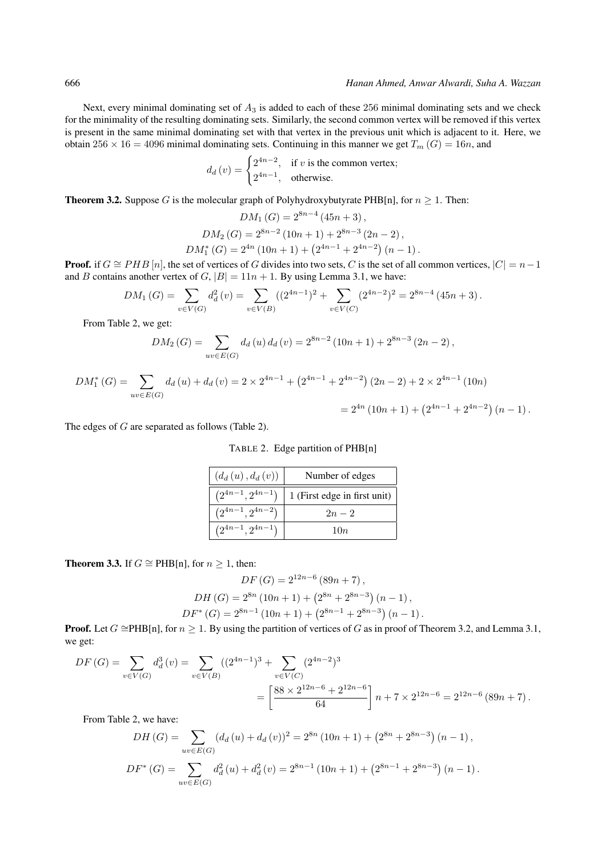Next, every minimal dominating set of  $A_3$  is added to each of these 256 minimal dominating sets and we check for the minimality of the resulting dominating sets. Similarly, the second common vertex will be removed if this vertex is present in the same minimal dominating set with that vertex in the previous unit which is adjacent to it. Here, we obtain  $256 \times 16 = 4096$  minimal dominating sets. Continuing in this manner we get  $T_m(G) = 16n$ , and

$$
d_d(v) = \begin{cases} 2^{4n-2}, & \text{if } v \text{ is the common vertex;} \\ 2^{4n-1}, & \text{otherwise.} \end{cases}
$$

**Theorem 3.2.** Suppose G is the molecular graph of Polyhydroxybutyrate PHB[n], for  $n \ge 1$ . Then:

$$
DM_1(G) = 2^{8n-4} (45n+3),
$$
  
\n
$$
DM_2(G) = 2^{8n-2} (10n+1) + 2^{8n-3} (2n-2),
$$
  
\n
$$
DM_1^*(G) = 2^{4n} (10n+1) + (2^{4n-1} + 2^{4n-2}) (n-1).
$$

**Proof.** if  $G \cong PHB[n]$ , the set of vertices of G divides into two sets, C is the set of all common vertices,  $|C| = n-1$ and B contains another vertex of  $G$ ,  $|B| = 11n + 1$ . By using Lemma 3.1, we have:

$$
DM_1(G) = \sum_{v \in V(G)} d_d^2(v) = \sum_{v \in V(B)} ((2^{4n-1})^2 + \sum_{v \in V(C)} (2^{4n-2})^2 = 2^{8n-4} (45n+3).
$$

From Table 2, we get:

$$
DM_2(G) = \sum_{uv \in E(G)} d_d(u) d_d(v) = 2^{8n-2} (10n+1) + 2^{8n-3} (2n-2),
$$

$$
DM_1^*(G) = \sum_{uv \in E(G)} d_d(u) + d_d(v) = 2 \times 2^{4n-1} + (2^{4n-1} + 2^{4n-2})(2n-2) + 2 \times 2^{4n-1} (10n)
$$
  
=  $2^{4n} (10n+1) + (2^{4n-1} + 2^{4n-2})(n-1).$ 

The edges of G are separated as follows (Table 2).

TABLE 2. Edge partition of PHB[n]

| $(d_d(u), d_d(v))$     | Number of edges              |  |  |
|------------------------|------------------------------|--|--|
| $(2^{4n-1}, 2^{4n-1})$ | 1 (First edge in first unit) |  |  |
| $(2^{4n-1}, 2^{4n-2})$ | $2n - 2$                     |  |  |
| $(2^{4n-1}, 2^{4n-1})$ | 10n                          |  |  |

**Theorem 3.3.** If *G*  $\cong$  PHB[n], for *n*  $\geq$  1, then:

$$
DF(G) = 2^{12n-6} (89n + 7),
$$
  
\n
$$
DH(G) = 2^{8n} (10n + 1) + (2^{8n} + 2^{8n-3}) (n - 1),
$$
  
\n
$$
DF^*(G) = 2^{8n-1} (10n + 1) + (2^{8n-1} + 2^{8n-3}) (n - 1).
$$

**Proof.** Let  $G \cong PHB[n]$ , for  $n > 1$ . By using the partition of vertices of G as in proof of Theorem 3.2, and Lemma 3.1, we get:

$$
DF(G) = \sum_{v \in V(G)} d_d^3(v) = \sum_{v \in V(B)} ((2^{4n-1})^3 + \sum_{v \in V(C)} (2^{4n-2})^3
$$
  
= 
$$
\left[ \frac{88 \times 2^{12n-6} + 2^{12n-6}}{64} \right] n + 7 \times 2^{12n-6} = 2^{12n-6} (89n + 7).
$$

From Table 2, we have:

$$
DH(G) = \sum_{uv \in E(G)} (d_d(u) + d_d(v))^2 = 2^{8n} (10n + 1) + (2^{8n} + 2^{8n-3}) (n - 1),
$$
  

$$
DF^*(G) = \sum_{uv \in E(G)} d_d^2(u) + d_d^2(v) = 2^{8n-1} (10n + 1) + (2^{8n-1} + 2^{8n-3}) (n - 1).
$$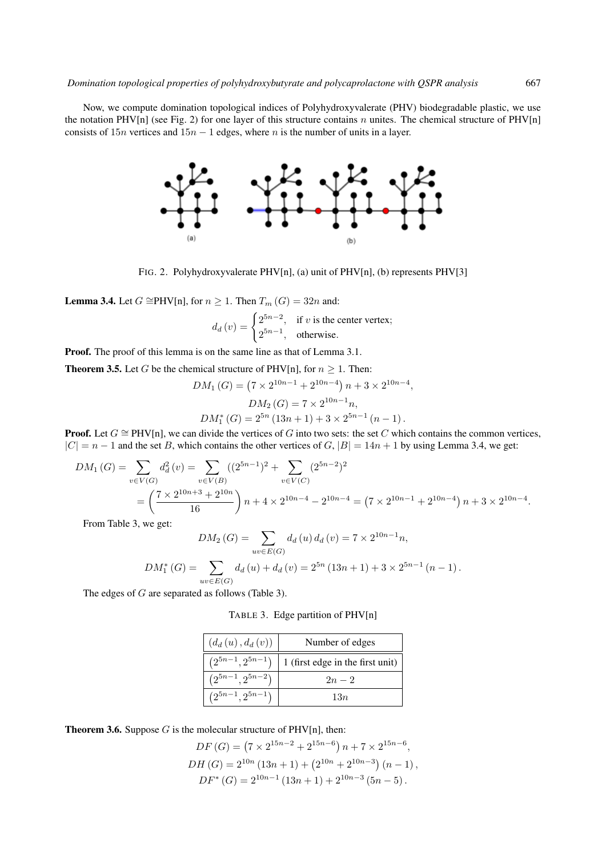Now, we compute domination topological indices of Polyhydroxyvalerate (PHV) biodegradable plastic, we use the notation PHV[n] (see Fig. 2) for one layer of this structure contains n unites. The chemical structure of PHV[n] consists of  $15n$  vertices and  $15n - 1$  edges, where n is the number of units in a layer.

FIG. 2. Polyhydroxyvalerate PHV[n], (a) unit of PHV[n], (b) represents PHV[3]

 $(b)$ 

**Lemma 3.4.** Let  $G \cong \text{PHV}[n]$ , for  $n \geq 1$ . Then  $T_m(G) = 32n$  and:

$$
d_d(v) = \begin{cases} 2^{5n-2}, & \text{if } v \text{ is the center vertex;} \\ 2^{5n-1}, & \text{otherwise.} \end{cases}
$$

Proof. The proof of this lemma is on the same line as that of Lemma 3.1.

**Theorem 3.5.** Let G be the chemical structure of PHV[n], for  $n \ge 1$ . Then:

$$
DM_1(G) = (7 \times 2^{10n-1} + 2^{10n-4}) n + 3 \times 2^{10n-4},
$$
  
\n
$$
DM_2(G) = 7 \times 2^{10n-1} n,
$$
  
\n
$$
DM_1^*(G) = 2^{5n} (13n+1) + 3 \times 2^{5n-1} (n-1).
$$

**Proof.** Let  $G \cong \text{PHV}[n]$ , we can divide the vertices of G into two sets: the set C which contains the common vertices,  $|C| = n - 1$  and the set B, which contains the other vertices of G,  $|B| = 14n + 1$  by using Lemma 3.4, we get:

$$
DM_1(G) = \sum_{v \in V(G)} d_d^2(v) = \sum_{v \in V(B)} ((2^{5n-1})^2 + \sum_{v \in V(C)} (2^{5n-2})^2
$$
  
=  $\left(\frac{7 \times 2^{10n+3} + 2^{10n}}{16}\right)n + 4 \times 2^{10n-4} - 2^{10n-4} = (7 \times 2^{10n-1} + 2^{10n-4})n + 3 \times 2^{10n-4}.$ 

From Table 3, we get:

$$
DM_2(G) = \sum_{uv \in E(G)} d_d(u) d_d(v) = 7 \times 2^{10n-1} n,
$$
  

$$
DM_1^*(G) = \sum_{uv \in E(G)} d_d(u) + d_d(v) = 2^{5n} (13n + 1) + 3 \times 2^{5n-1} (n - 1).
$$

The edges of G are separated as follows (Table 3).

TABLE 3. Edge partition of PHV[n]

| $(d_d(u), d_d(v))$     | Number of edges                  |  |  |
|------------------------|----------------------------------|--|--|
| $(2^{5n-1}, 2^{5n-1})$ | 1 (first edge in the first unit) |  |  |
| $(2^{5n-1}, 2^{5n-2})$ | $2n - 2$                         |  |  |
| $(2^{5n-1}, 2^{5n-1})$ | 13n                              |  |  |

**Theorem 3.6.** Suppose  $G$  is the molecular structure of PHV[n], then:

$$
DF(G) = (7 \times 2^{15n-2} + 2^{15n-6}) n + 7 \times 2^{15n-6},
$$
  
\n
$$
DH(G) = 2^{10n} (13n + 1) + (2^{10n} + 2^{10n-3}) (n - 1),
$$
  
\n
$$
DF^*(G) = 2^{10n-1} (13n + 1) + 2^{10n-3} (5n - 5).
$$

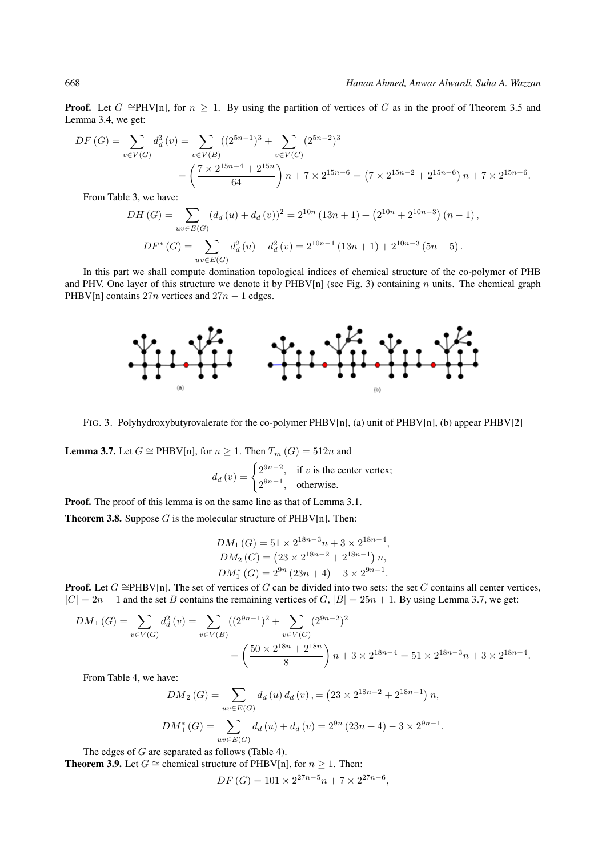**Proof.** Let  $G \cong PHV[n]$ , for  $n \geq 1$ . By using the partition of vertices of G as in the proof of Theorem 3.5 and Lemma 3.4, we get:

$$
DF(G) = \sum_{v \in V(G)} d_d^3(v) = \sum_{v \in V(B)} ((2^{5n-1})^3 + \sum_{v \in V(C)} (2^{5n-2})^3
$$
  
=  $\left(\frac{7 \times 2^{15n+4} + 2^{15n}}{64}\right)n + 7 \times 2^{15n-6} = (7 \times 2^{15n-2} + 2^{15n-6})n + 7 \times 2^{15n-6}.$ 

From Table 3, we have:

$$
DH(G) = \sum_{uv \in E(G)} (d_d(u) + d_d(v))^2 = 2^{10n} (13n + 1) + (2^{10n} + 2^{10n-3}) (n - 1),
$$
  

$$
DF^*(G) = \sum_{uv \in E(G)} d_d^2(u) + d_d^2(v) = 2^{10n-1} (13n + 1) + 2^{10n-3} (5n - 5).
$$

In this part we shall compute domination topological indices of chemical structure of the co-polymer of PHB and PHV. One layer of this structure we denote it by PHBV[n] (see Fig. 3) containing n units. The chemical graph PHBV[n] contains  $27n$  vertices and  $27n - 1$  edges.



FIG. 3. Polyhydroxybutyrovalerate for the co-polymer PHBV[n], (a) unit of PHBV[n], (b) appear PHBV[2]

**Lemma 3.7.** Let  $G \cong PHBV[n]$ , for  $n \geq 1$ . Then  $T_m(G) = 512n$  and

$$
d_d(v) = \begin{cases} 2^{9n-2}, & \text{if } v \text{ is the center vertex;} \\ 2^{9n-1}, & \text{otherwise.} \end{cases}
$$

Proof. The proof of this lemma is on the same line as that of Lemma 3.1.

**Theorem 3.8.** Suppose  $G$  is the molecular structure of PHBV[n]. Then:

$$
DM_1(G) = 51 \times 2^{18n-3}n + 3 \times 2^{18n-4},
$$
  
\n
$$
DM_2(G) = (23 \times 2^{18n-2} + 2^{18n-1}) n,
$$
  
\n
$$
DM_1^*(G) = 2^{9n} (23n + 4) - 3 \times 2^{9n-1}.
$$

**Proof.** Let  $G \cong PHBV[n]$ . The set of vertices of G can be divided into two sets: the set C contains all center vertices,  $|C| = 2n - 1$  and the set B contains the remaining vertices of G,  $|B| = 25n + 1$ . By using Lemma 3.7, we get:

$$
DM_1(G) = \sum_{v \in V(G)} d_d^2(v) = \sum_{v \in V(B)} ((2^{9n-1})^2 + \sum_{v \in V(C)} (2^{9n-2})^2
$$
  
=  $\left(\frac{50 \times 2^{18n} + 2^{18n}}{8}\right) n + 3 \times 2^{18n-4} = 51 \times 2^{18n-3}n + 3 \times 2^{18n-4}$ .

From Table 4, we have:

$$
DM_2(G) = \sum_{uv \in E(G)} d_d(u) d_d(v), = (23 \times 2^{18n-2} + 2^{18n-1}) n,
$$
  

$$
DM_1^*(G) = \sum_{uv \in E(G)} d_d(u) + d_d(v) = 2^{9n} (23n + 4) - 3 \times 2^{9n-1}.
$$

The edges of G are separated as follows (Table 4).

**Theorem 3.9.** Let *G*  $\cong$  chemical structure of PHBV[n], for *n* ≥ 1. Then:

 $DF(G) = 101 \times 2^{27n-5}n + 7 \times 2^{27n-6},$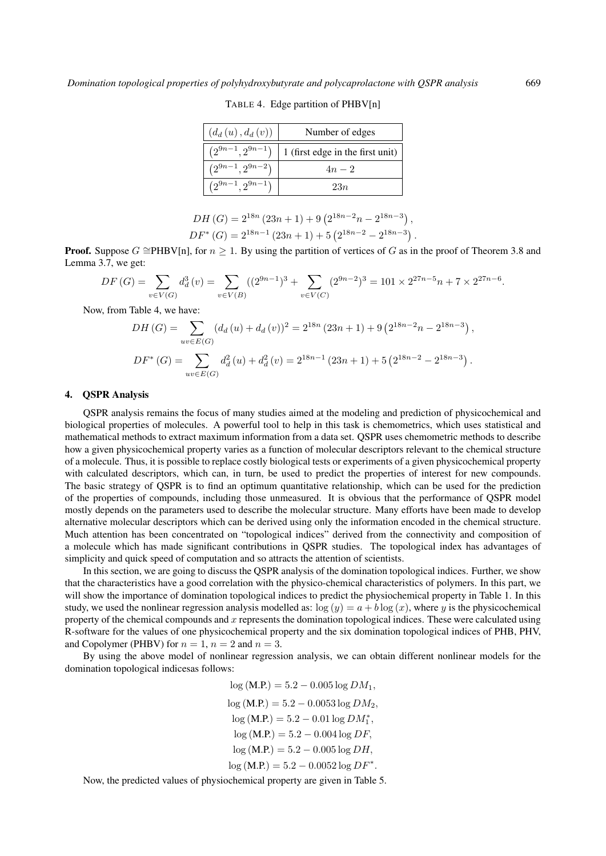| $(d_d(u), d_d(v))$     | Number of edges                  |  |  |
|------------------------|----------------------------------|--|--|
| $(2^{9n-1}, 2^{9n-1})$ | 1 (first edge in the first unit) |  |  |
| $(2^{9n-1}, 2^{9n-2})$ | $4n - 2$                         |  |  |
| $(2^{9n-1}, 2^{9n-1})$ | 23n                              |  |  |

TABLE 4. Edge partition of PHBV[n]

| DH $(G) = 2^{18n} (23n + 1) + 9 (2^{18n-2}n - 2^{18n-3}),$   |  |
|--------------------------------------------------------------|--|
| $DF^*(G) = 2^{18n-1} (23n + 1) + 5 (2^{18n-2} - 2^{18n-3}).$ |  |

**Proof.** Suppose  $G \cong PHBV[n]$ , for  $n \geq 1$ . By using the partition of vertices of G as in the proof of Theorem 3.8 and Lemma 3.7, we get:

$$
DF(G) = \sum_{v \in V(G)} d_d^3(v) = \sum_{v \in V(B)} ((2^{9n-1})^3 + \sum_{v \in V(C)} (2^{9n-2})^3 = 101 \times 2^{27n-5}n + 7 \times 2^{27n-6}.
$$

Now, from Table 4, we have:

$$
DH(G) = \sum_{uv \in E(G)} (d_d(u) + d_d(v))^2 = 2^{18n} (23n + 1) + 9 (2^{18n-2}n - 2^{18n-3}),
$$
  

$$
DF^*(G) = \sum_{uv \in E(G)} d_d^2(u) + d_d^2(v) = 2^{18n-1} (23n + 1) + 5 (2^{18n-2} - 2^{18n-3}).
$$

#### 4. QSPR Analysis

QSPR analysis remains the focus of many studies aimed at the modeling and prediction of physicochemical and biological properties of molecules. A powerful tool to help in this task is chemometrics, which uses statistical and mathematical methods to extract maximum information from a data set. QSPR uses chemometric methods to describe how a given physicochemical property varies as a function of molecular descriptors relevant to the chemical structure of a molecule. Thus, it is possible to replace costly biological tests or experiments of a given physicochemical property with calculated descriptors, which can, in turn, be used to predict the properties of interest for new compounds. The basic strategy of QSPR is to find an optimum quantitative relationship, which can be used for the prediction of the properties of compounds, including those unmeasured. It is obvious that the performance of QSPR model mostly depends on the parameters used to describe the molecular structure. Many efforts have been made to develop alternative molecular descriptors which can be derived using only the information encoded in the chemical structure. Much attention has been concentrated on "topological indices" derived from the connectivity and composition of a molecule which has made significant contributions in QSPR studies. The topological index has advantages of simplicity and quick speed of computation and so attracts the attention of scientists.

In this section, we are going to discuss the QSPR analysis of the domination topological indices. Further, we show that the characteristics have a good correlation with the physico-chemical characteristics of polymers. In this part, we will show the importance of domination topological indices to predict the physiochemical property in Table 1. In this study, we used the nonlinear regression analysis modelled as:  $\log(y) = a + b \log(x)$ , where y is the physicochemical property of the chemical compounds and x represents the domination topological indices. These were calculated using R-software for the values of one physicochemical property and the six domination topological indices of PHB, PHV, and Copolymer (PHBV) for  $n = 1$ ,  $n = 2$  and  $n = 3$ .

By using the above model of nonlinear regression analysis, we can obtain different nonlinear models for the domination topological indicesas follows:

> $log(M.P.) = 5.2 - 0.005 log DM_1$  $log (M.P.) = 5.2 - 0.0053 log DM<sub>2</sub>$  $log(M.P.) = 5.2 - 0.01 log DM_1^*$ ,  $log(M.P.) = 5.2 - 0.004 log DF,$  $log (M.P.) = 5.2 - 0.005 log DH,$  $log(M.P.) = 5.2 - 0.0052 log DF^*$ .

Now, the predicted values of physiochemical property are given in Table 5.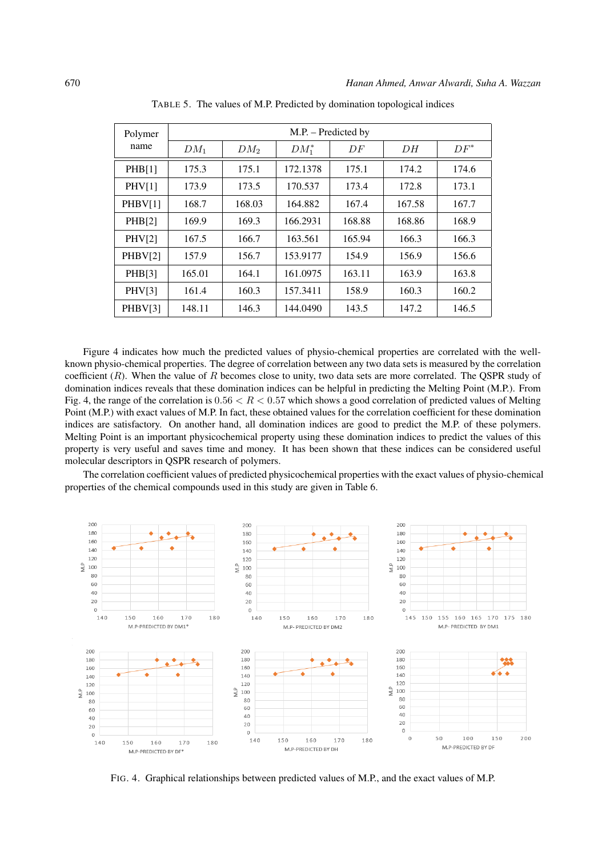| Polymer<br>name | M.P. – Predicted by |        |          |        |        |        |
|-----------------|---------------------|--------|----------|--------|--------|--------|
|                 | $DM_1$              | $DM_2$ | $DM_1^*$ | DF     | DН     | $DF^*$ |
| PHB[1]          | 175.3               | 175.1  | 172.1378 | 175.1  | 174.2  | 174.6  |
| PHV[1]          | 173.9               | 173.5  | 170.537  | 173.4  | 172.8  | 173.1  |
| PHBV[1]         | 168.7               | 168.03 | 164.882  | 167.4  | 167.58 | 167.7  |
| PHB[2]          | 169.9               | 169.3  | 166.2931 | 168.88 | 168.86 | 168.9  |
| PHV[2]          | 167.5               | 166.7  | 163.561  | 165.94 | 166.3  | 166.3  |
| PHBV[2]         | 157.9               | 156.7  | 153.9177 | 154.9  | 156.9  | 156.6  |
| PHB[3]          | 165.01              | 164.1  | 161.0975 | 163.11 | 163.9  | 163.8  |
| <b>PHV[3]</b>   | 161.4               | 160.3  | 157.3411 | 158.9  | 160.3  | 160.2  |
| PHBV[3]         | 148.11              | 146.3  | 144.0490 | 143.5  | 147.2  | 146.5  |

TABLE 5. The values of M.P. Predicted by domination topological indices

Figure 4 indicates how much the predicted values of physio-chemical properties are correlated with the wellknown physio-chemical properties. The degree of correlation between any two data sets is measured by the correlation coefficient  $(R)$ . When the value of R becomes close to unity, two data sets are more correlated. The QSPR study of domination indices reveals that these domination indices can be helpful in predicting the Melting Point (M.P.). From Fig. 4, the range of the correlation is  $0.56 < R < 0.57$  which shows a good correlation of predicted values of Melting Point (M.P.) with exact values of M.P. In fact, these obtained values for the correlation coefficient for these domination indices are satisfactory. On another hand, all domination indices are good to predict the M.P. of these polymers. Melting Point is an important physicochemical property using these domination indices to predict the values of this property is very useful and saves time and money. It has been shown that these indices can be considered useful molecular descriptors in QSPR research of polymers.

The correlation coefficient values of predicted physicochemical properties with the exact values of physio-chemical properties of the chemical compounds used in this study are given in Table 6.



FIG. 4. Graphical relationships between predicted values of M.P., and the exact values of M.P.